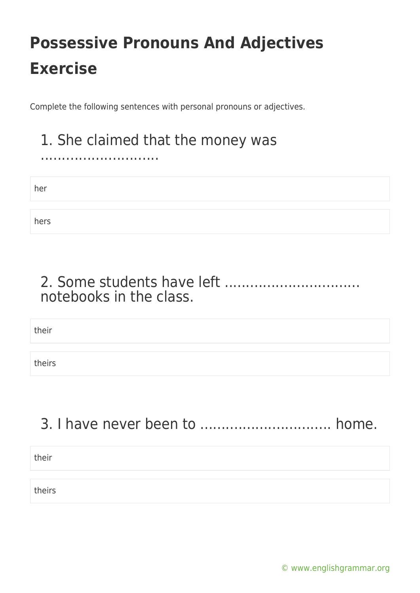Complete the following sentences with personal pronouns or adjectives.

## 1. She claimed that the money was

her

............................

hers

### 2. Some students have left ................................ notebooks in the class.

their

theirs

### 3. I have never been to ............................... home.

| their  |  |
|--------|--|
|        |  |
| theirs |  |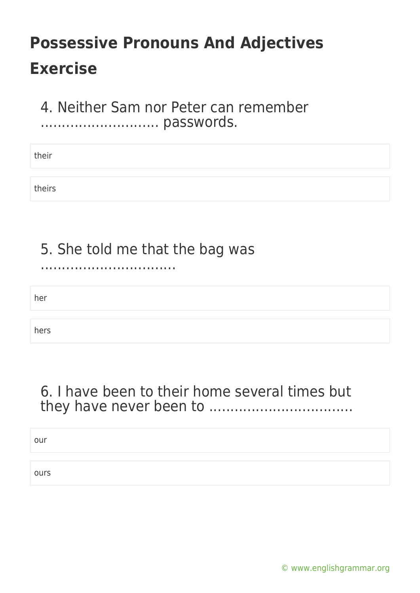#### 4. Neither Sam nor Peter can remember ............................ passwords.

their

theirs

### 5. She told me that the bag was

................................

her

hers

### 6. I have been to their home several times but they have never been to ..................................

our

ours

[© www.englishgrammar.org](https://www.englishgrammar.org/)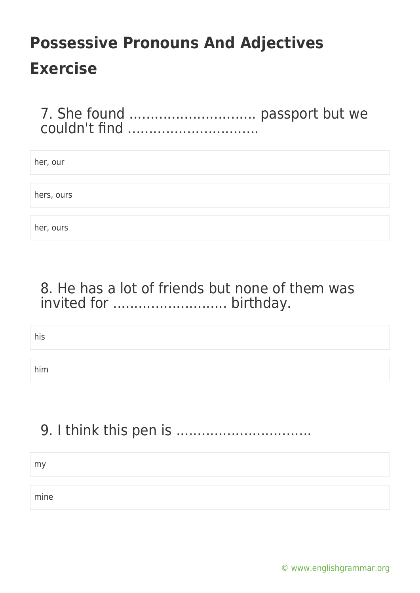7. She found .............................. passport but we couldn't find ...............................

| her, our   |  |
|------------|--|
|            |  |
| hers, ours |  |
|            |  |
| her, ours  |  |

#### 8. He has a lot of friends but none of them was invited for ........................... birthday.

his

him

## 9. I think this pen is ................................

my

mine

[© www.englishgrammar.org](https://www.englishgrammar.org/)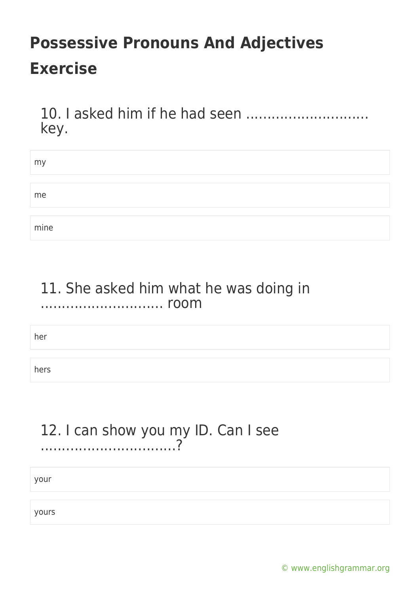10. I asked him if he had seen ............................. key.

| my   |  |  |  |
|------|--|--|--|
|      |  |  |  |
| me   |  |  |  |
|      |  |  |  |
| mine |  |  |  |

#### 11. She asked him what he was doing in ............................. room

her

hers

#### 12. I can show you my ID. Can I see ................................?

your

yours